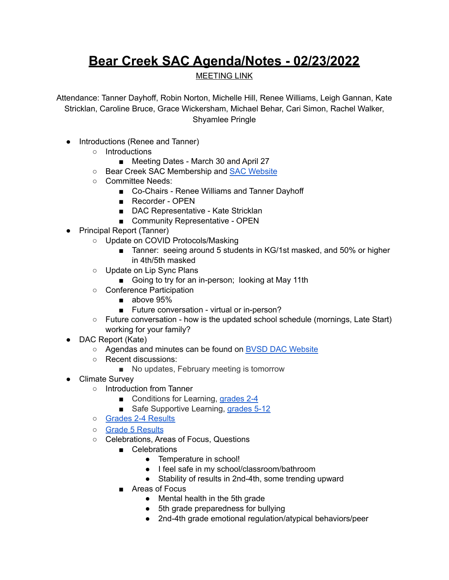## **Bear Creek SAC Agenda/Notes - 02/23/2022**

## MEETING LINK

Attendance: Tanner Dayhoff, Robin Norton, Michelle Hill, Renee Williams, Leigh Gannan, Kate Stricklan, Caroline Bruce, Grace Wickersham, Michael Behar, Cari Simon, Rachel Walker, Shyamlee Pringle

- Introductions (Renee and Tanner)
	- Introductions
		- *■* Meeting Dates March 30 and April 27
	- Bear Creek SAC Membership and SAC [Website](https://bce.bvsd.org/about/school-accountability-committee-sac)
	- Committee Needs:
		- Co-Chairs Renee Williams and Tanner Dayhoff
		- Recorder OPEN
		- DAC Representative Kate Stricklan
		- Community Representative OPEN
- Principal Report (Tanner)
	- Update on COVID Protocols/Masking
		- Tanner: seeing around 5 students in KG/1st masked, and 50% or higher in 4th/5th masked
	- Update on Lip Sync Plans
		- Going to try for an in-person; looking at May 11th
	- Conference Participation
		- above 95%
		- Future conversation virtual or in-person?
	- Future conversation how is the updated school schedule (mornings, Late Start) working for your family?
- DAC Report (Kate)
	- Agendas and minutes can be found on BVSD DAC [Website](https://www.bvsd.org/about/district-accountability-committee)
	- Recent discussions:
		- No updates, February meeting is tomorrow
- Climate Survey
	- Introduction from Tanner
		- Conditions for Learning, [grades](https://drive.google.com/open?id=1yH8xgIuM-dtfEqeC2HCVrbdRUmeMzFac) 2-4
		- Safe Supportive Learning, [grades](https://drive.google.com/open?id=1xbUDhl00zsIZWpSzD2fDBx8FXumjTWEW) 5-12
	- Grades 2-4 [Results](https://docs.google.com/spreadsheets/d/1ZhPG1zIAC1eGi1MT1j3YmMK8efhpK8f8FGtSS8nTF1o/edit?usp=sharing)
	- Grade 5 [Results](https://docs.google.com/spreadsheets/d/14FXrK-ulVYa9bAfwdtCpQVPzksySDxJ6iVTpjfTsUZY/edit?usp=sharing)
	- Celebrations, Areas of Focus, Questions
		- Celebrations
			- Temperature in school!
			- I feel safe in my school/classroom/bathroom
			- Stability of results in 2nd-4th, some trending upward
		- Areas of Focus
			- Mental health in the 5th grade
			- 5th grade preparedness for bullying
			- 2nd-4th grade emotional regulation/atypical behaviors/peer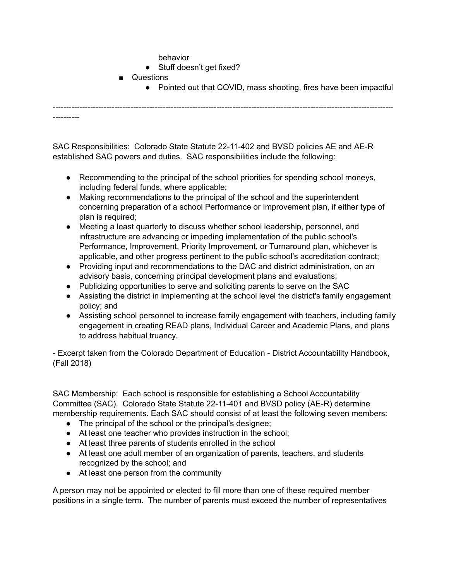behavior

- Stuff doesn't get fixed?
- Questions
	- Pointed out that COVID, mass shooting, fires have been impactful

------------------------------------------------------------------------------------------------------------------------------- ----------

SAC Responsibilities: Colorado State Statute [22-11-402](http://www.lpdirect.net/casb/crs/22-11-402.html) and BVSD policies [AE](https://www.bvsd.org/about/board-of-education/policies/policy/~board/a-policies/post/ae-accountabilitycommitment-to-accomplishment) and [AE-R](https://www.bvsd.org/about/board-of-education/policies/policy/~board/a-policies/post/ae-r-accountabilitycommitment-to-accomplishment-regulation) established SAC powers and duties. SAC responsibilities include the following:

- Recommending to the principal of the school priorities for spending school moneys, including federal funds, where applicable;
- Making recommendations to the principal of the school and the superintendent concerning preparation of a school Performance or Improvement plan, if either type of plan is required;
- Meeting a least quarterly to discuss whether school leadership, personnel, and infrastructure are advancing or impeding implementation of the public school's Performance, Improvement, Priority Improvement, or Turnaround plan, whichever is applicable, and other progress pertinent to the public school's accreditation contract;
- Providing input and recommendations to the DAC and district administration, on an advisory basis, concerning principal development plans and evaluations;
- Publicizing opportunities to serve and soliciting parents to serve on the SAC
- Assisting the district in implementing at the school level the district's family engagement policy; and
- Assisting school personnel to increase family engagement with teachers, including family engagement in creating READ plans, Individual Career and Academic Plans, and plans to address habitual truancy.

- Excerpt taken from the Colorado Department of Education - District Accountability Handbook, (Fall 2018)

SAC Membership: Each school is responsible for establishing a School Accountability Committee (SAC). Colorado State Statute [22-11-401](http://www.lpdirect.net/casb/crs/22-11-401.html) and BVSD policy [\(AE-R](https://www.bvsd.org/about/board-of-education/policies/policy/~board/a-policies/post/ae-r-accountabilitycommitment-to-accomplishment-regulation)) determine membership requirements. Each SAC should consist of at least the following seven members:

- The principal of the school or the principal's designee;
- At least one teacher who provides instruction in the school;
- At least three parents of students enrolled in the school
- At least one adult member of an organization of parents, teachers, and students recognized by the school; and
- At least one person from the community

A person may not be appointed or elected to fill more than one of these required member positions in a single term. The number of parents must exceed the number of representatives